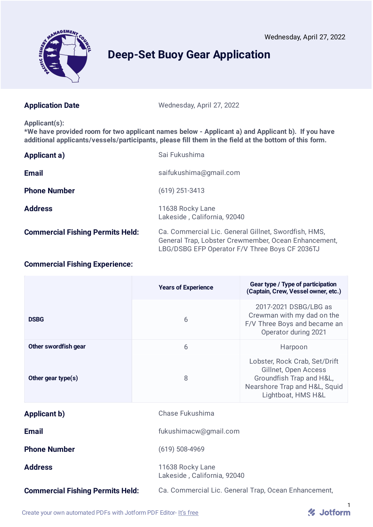

# Wednesday, April 27, 2022 Agenda Item G.3 Attachment 3 June 2022

# **Deep-Set Buoy Gear Application**

Application Date Wednesday, April 27, 2022

#### **Applicant(s):**

**\*We have provided room for two applicant names below - Applicant a) and Applicant b). If you have additional applicants/vessels/participants, please fill them in the field at the bottom of this form.**

| Applicant a)                            | Sai Fukushima                                                                                                                                                  |
|-----------------------------------------|----------------------------------------------------------------------------------------------------------------------------------------------------------------|
| <b>Email</b>                            | saifukushima@gmail.com                                                                                                                                         |
| <b>Phone Number</b>                     | $(619)$ 251-3413                                                                                                                                               |
| <b>Address</b>                          | 11638 Rocky Lane<br>Lakeside, California, 92040                                                                                                                |
| <b>Commercial Fishing Permits Held:</b> | Ca. Commercial Lic. General Gillnet, Swordfish, HMS,<br>General Trap, Lobster Crewmember, Ocean Enhancement,<br>LBG/DSBG EFP Operator F/V Three Boys CF 2036TJ |

# **Commercial Fishing Experience:**

|                                         | <b>Years of Experience</b> | Gear type / Type of participation<br>(Captain, Crew, Vessel owner, etc.)                                                                 |  |
|-----------------------------------------|----------------------------|------------------------------------------------------------------------------------------------------------------------------------------|--|
| <b>DSBG</b>                             | 6                          | 2017-2021 DSBG/LBG as<br>Crewman with my dad on the<br>F/V Three Boys and became an<br>Operator during 2021                              |  |
| Other swordfish gear                    | 6                          | Harpoon                                                                                                                                  |  |
| Other gear type(s)                      | 8                          | Lobster, Rock Crab, Set/Drift<br>Gillnet, Open Access<br>Groundfish Trap and H&L,<br>Nearshore Trap and H&L, Squid<br>Lightboat, HMS H&L |  |
| <b>Applicant b)</b>                     | Chase Fukushima            |                                                                                                                                          |  |
| <b>Email</b>                            |                            | fukushimacw@gmail.com                                                                                                                    |  |
| <b>Phone Number</b>                     | $(619)$ 508-4969           |                                                                                                                                          |  |
| <b>Address</b>                          | 11638 Rocky Lane           | Lakeside, California, 92040                                                                                                              |  |
| <b>Commercial Fishing Permits Held:</b> |                            | Ca. Commercial Lic. General Trap, Ocean Enhancement,                                                                                     |  |

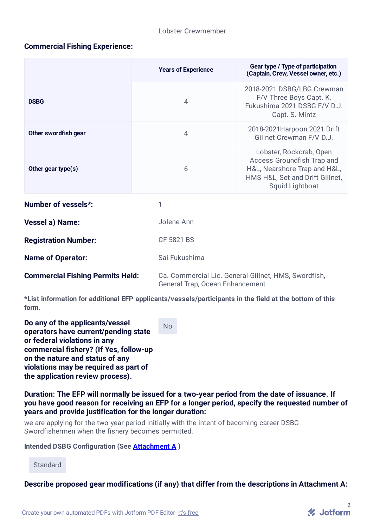# **Commercial Fishing Experience:**

|                                         | <b>Years of Experience</b> | Gear type / Type of participation<br>(Captain, Crew, Vessel owner, etc.)                                                                    |  |
|-----------------------------------------|----------------------------|---------------------------------------------------------------------------------------------------------------------------------------------|--|
| <b>DSBG</b>                             | 4                          | 2018-2021 DSBG/LBG Crewman<br>F/V Three Boys Capt. K.<br>Fukushima 2021 DSBG F/V D.J.<br>Capt. S. Mintz                                     |  |
| Other swordfish gear                    | 4                          | 2018-2021 Harpoon 2021 Drift<br>Gillnet Crewman F/V D.J.                                                                                    |  |
| Other gear type(s)                      | 6                          | Lobster, Rockcrab, Open<br>Access Groundfish Trap and<br>H&L, Nearshore Trap and H&L,<br>HMS H&L, Set and Drift Gillnet,<br>Squid Lightboat |  |
| <b>Number of vessels*:</b>              | 1                          |                                                                                                                                             |  |
| <b>Vessel a) Name:</b>                  | Jolene Ann                 |                                                                                                                                             |  |
| <b>Registration Number:</b>             | <b>CF 5821 BS</b>          |                                                                                                                                             |  |
| <b>Name of Operator:</b>                | Sai Fukushima              |                                                                                                                                             |  |
| <b>Commercial Fishing Permits Held:</b> |                            | Ca. Commercial Lic. General Gillnet, HMS, Swordfish,<br>General Trap, Ocean Enhancement                                                     |  |

**\*List information for additional EFP applicants/vessels/participants in the field at the bottom of this form.**

**Do any of the applicants/vessel operators have current/pending state or federal violations in any commercial fishery? (If Yes, follow-up on the nature and status of any violations may be required as part of the application review process).**

No

**Duration: The EFP will normally be issued for a two-year period from the date of issuance. If you have good reason for receiving an EFP for a longer period, specify the requested number of years and provide justification for the longer duration:**

we are applying for the two year period initially with the intent of becoming career DSBG Swordfishermen when the fishery becomes permitted.

#### **Intended DSBG Configuration (See Attachment A )**

**Standard** 

**Describe proposed gear modifications (if any) that differ from the descriptions in Attachment A:**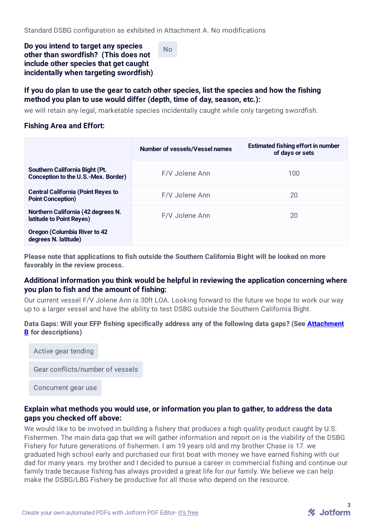**Do you intend to target any species other than swordfish? (This does not include other species that get caught incidentally when targeting swordfish)**

No

# **If you do plan to use the gear to catch other species, list the species and how the fishing method you plan to use would differ (depth, time of day, season, etc.):**

we will retain any legal, marketable species incidentally caught while only targeting swordfish.

# **Fishing Area and Effort:**

|                                                                       | Number of vessels/Vessel names | <b>Estimated fishing effort in number</b><br>of days or sets |
|-----------------------------------------------------------------------|--------------------------------|--------------------------------------------------------------|
| Southern California Bight (Pt.<br>Conception to the U.S.-Mex. Border) | F/V Jolene Ann                 | 100                                                          |
| <b>Central California (Point Reyes to</b><br><b>Point Conception)</b> | F/V Jolene Ann                 | 20                                                           |
| Northern California (42 degrees N.<br>latitude to Point Reyes)        | F/V Jolene Ann                 | 20                                                           |
| <b>Oregon (Columbia River to 42)</b><br>degrees N. latitude)          |                                |                                                              |

**Please note that applications to fish outside the Southern California Bight will be looked on more favorably in the review process.**

# **Additional information you think would be helpful in reviewing the application concerning where you plan to fish and the amount of fishing:**

Our current vessel F/V Jolene Ann is 30ft LOA. Looking forward to the future we hope to work our way up to a larger vessel and have the ability to test DSBG outside the Southern California Bight.

#### **Data Gaps: Will your EFP fishing specifically address any of the following data gaps? (See Attachment B for descriptions)**

Active gear tending

Gear conflicts/number of vessels

Concurrent gear use

### **Explain what methods you would use, or information you plan to gather, to address the data gaps you checked off above:**

We would like to be involved in building a fishery that produces a high quality product caught by U.S. Fishermen. The main data gap that we will gather information and report on is the viability of the DSBG Fishery for future generations of fishermen. I am 19 years old and my brother Chase is 17. we graduated high school early and purchased our first boat with money we have earned fishing with our dad for many years. my brother and I decided to pursue a career in commercial fishing and continue our family trade because fishing has always provided a great life for our family. We believe we can help make the DSBG/LBG Fishery be productive for all those who depend on the resource.